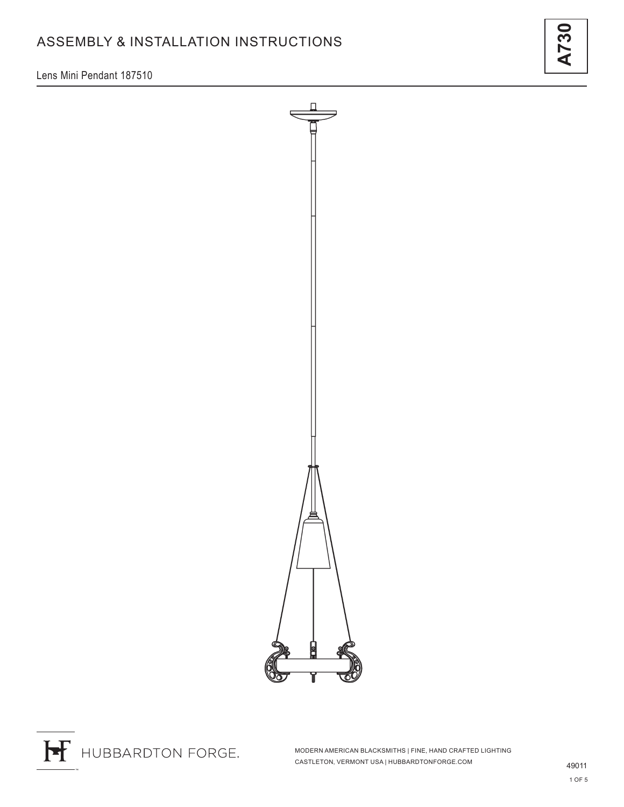Lens Mini Pendant 187510



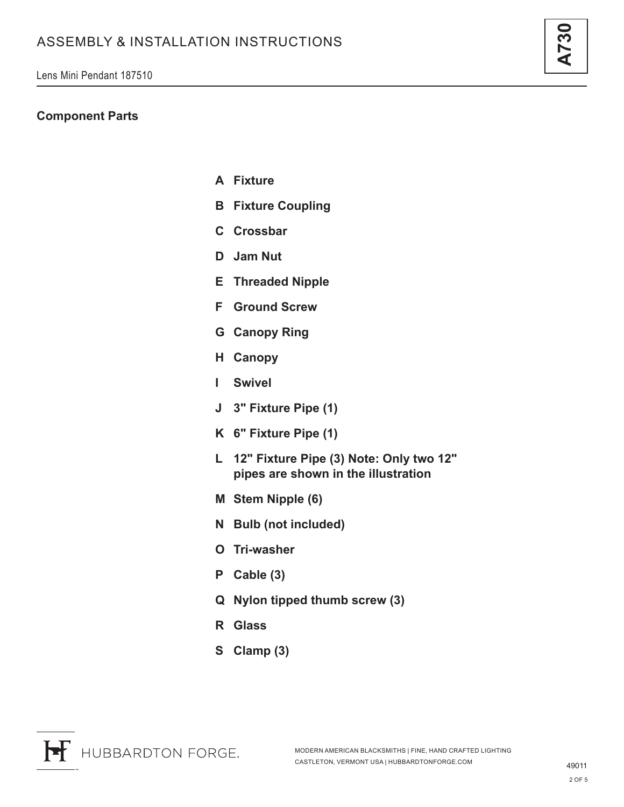### **Component Parts**

- **A Fixture**
- **B Fixture Coupling**
- **C Crossbar**
- **D Jam Nut**
- **E Threaded Nipple**
- **F Ground Screw**
- **G Canopy Ring**
- **H Canopy**
- **I Swivel**
- **J 3" Fixture Pipe (1)**
- **K 6" Fixture Pipe (1)**
- **L 12" Fixture Pipe (3) Note: Only two 12" pipes are shown in the illustration**
- **M Stem Nipple (6)**
- **N Bulb (not included)**
- **O Tri-washer**
- **P Cable (3)**
- **Q Nylon tipped thumb screw (3)**
- **R Glass**
- **S Clamp (3)**

**A730**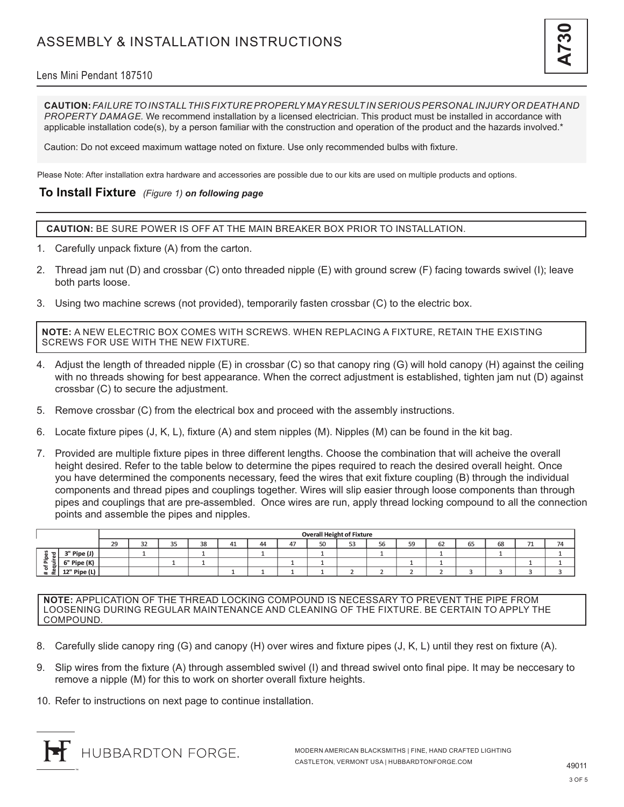### Lens Mini Pendant 187510

**CAUTION:** *FAILURE TO INSTALL THIS FIXTURE PROPERLY MAY RESULT IN SERIOUS PERSONAL INJURY OR DEATH AND PROPERTY DAMAGE.* We recommend installation by a licensed electrician. This product must be installed in accordance with applicable installation code(s), by a person familiar with the construction and operation of the product and the hazards involved.\*

Caution: Do not exceed maximum wattage noted on fixture. Use only recommended bulbs with fixture.

Please Note: After installation extra hardware and accessories are possible due to our kits are used on multiple products and options.

### **To Install Fixture** *(Figure 1) on following page*

**CAUTION:** BE SURE POWER IS OFF AT THE MAIN BREAKER BOX PRIOR TO INSTALLATION.

- 1. Carefully unpack fixture (A) from the carton.
- 2. Thread jam nut (D) and crossbar (C) onto threaded nipple (E) with ground screw (F) facing towards swivel (I); leave both parts loose.
- 3. Using two machine screws (not provided), temporarily fasten crossbar (C) to the electric box.

**NOTE:** A NEW ELECTRIC BOX COMES WITH SCREWS. WHEN REPLACING A FIXTURE, RETAIN THE EXISTING SCREWS FOR USE WITH THE NEW FIXTURE.

- 4. Adjust the length of threaded nipple (E) in crossbar (C) so that canopy ring (G) will hold canopy (H) against the ceiling with no threads showing for best appearance. When the correct adjustment is established, tighten jam nut (D) against crossbar (C) to secure the adjustment.
- 5. Remove crossbar (C) from the electrical box and proceed with the assembly instructions.
- 6. Locate fixture pipes (J, K, L), fixture (A) and stem nipples (M). Nipples (M) can be found in the kit bag.
- 7. Provided are multiple fixture pipes in three different lengths. Choose the combination that will acheive the overall height desired. Refer to the table below to determine the pipes required to reach the desired overall height. Once you have determined the components necessary, feed the wires that exit fixture coupling (B) through the individual components and thread pipes and couplings together. Wires will slip easier through loose components than through pipes and couplings that are pre-assembled. Once wires are run, apply thread locking compound to all the connection points and assemble the pipes and nipples.

|                                                                                                                        |              | <b>Overall Height of Fixture</b> |              |                       |    |    |    |                |         |                  |    |    |    |    |    |                                 |    |
|------------------------------------------------------------------------------------------------------------------------|--------------|----------------------------------|--------------|-----------------------|----|----|----|----------------|---------|------------------|----|----|----|----|----|---------------------------------|----|
|                                                                                                                        |              | 29                               | $\sim$<br>ےر | <b>OF</b><br><u>.</u> | 38 | 41 | 44 | $\overline{A}$ | EΩ<br>س | $-2$<br>ъ.<br>ںر | 56 | 59 | 62 | 65 | 68 | $\mathcal{L}$<br>$\overline{ }$ | 74 |
| s<br>$\mathbf{\overline{5}}$<br>$\mathbf{a}$<br>- 음<br>$\overline{\mathbf{r}}$<br>$-$<br>$\leftarrow$<br>n.<br>∝<br>a. | 3" Pipe (J)  |                                  |              |                       |    |    |    |                |         |                  |    |    |    |    |    |                                 |    |
|                                                                                                                        | 6" Pipe (K)  |                                  |              |                       |    |    |    |                |         |                  |    |    |    |    |    |                                 |    |
|                                                                                                                        | 12" Pipe (L) |                                  |              |                       |    |    |    |                |         |                  |    |    |    |    |    |                                 |    |

**NOTE:** APPLICATION OF THE THREAD LOCKING COMPOUND IS NECESSARY TO PREVENT THE PIPE FROM LOOSENING DURING REGULAR MAINTENANCE AND CLEANING OF THE FIXTURE. BE CERTAIN TO APPLY THE COMPOUND.

- 8. Carefully slide canopy ring (G) and canopy (H) over wires and fixture pipes (J, K, L) until they rest on fixture (A).
- 9. Slip wires from the fixture (A) through assembled swivel (I) and thread swivel onto final pipe. It may be neccesary to remove a nipple (M) for this to work on shorter overall fixture heights.
- 10. Refer to instructions on next page to continue installation.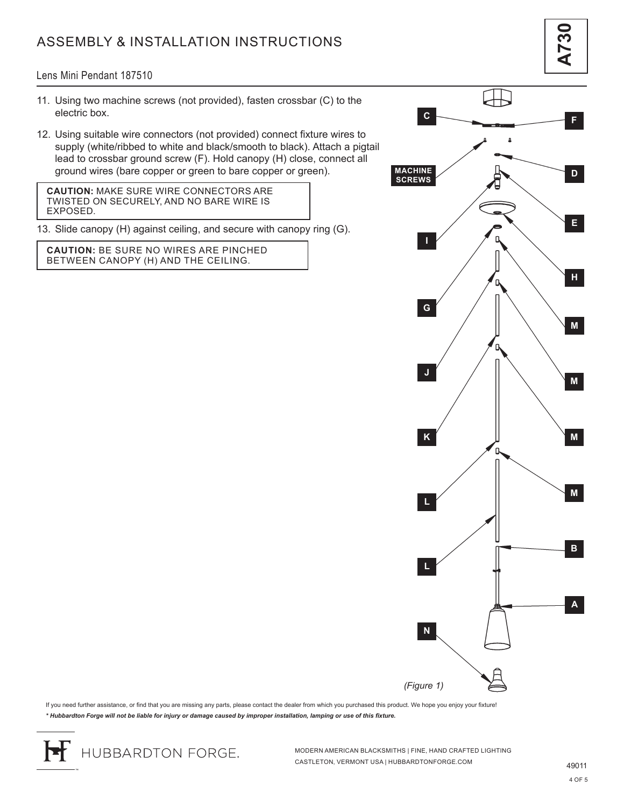# ASSEMBLY & INSTALLATION INSTRUCTIONS

Lens Mini Pendant 187510

- 11. Using two machine screws (not provided), fasten crossbar (C) to the electric box.
- 12. Using suitable wire connectors (not provided) connect fixture wires to supply (white/ribbed to white and black/smooth to black). Attach a pigtail lead to crossbar ground screw (F). Hold canopy (H) close, connect all ground wires (bare copper or green to bare copper or green).

**CAUTION:** MAKE SURE WIRE CONNECTORS ARE TWISTED ON SECURELY, AND NO BARE WIRE IS EXPOSED.

13. Slide canopy (H) against ceiling, and secure with canopy ring (G).

**CAUTION:** BE SURE NO WIRES ARE PINCHED BETWEEN CANOPY (H) AND THE CEILING.



**A730**

If you need further assistance, or find that you are missing any parts, please contact the dealer from which you purchased this product. We hope you enjoy your fixture! *\* Hubbardton Forge will not be liable for injury or damage caused by improper installation, lamping or use of this fixture.*

HUBBARDTON FORGE.

MODERN AMERICAN BLACKSMITHS | FINE, HAND CRAFTED LIGHTING CASTLETON, VERMONT USA | HUBBARDTONFORGE.COM 49011